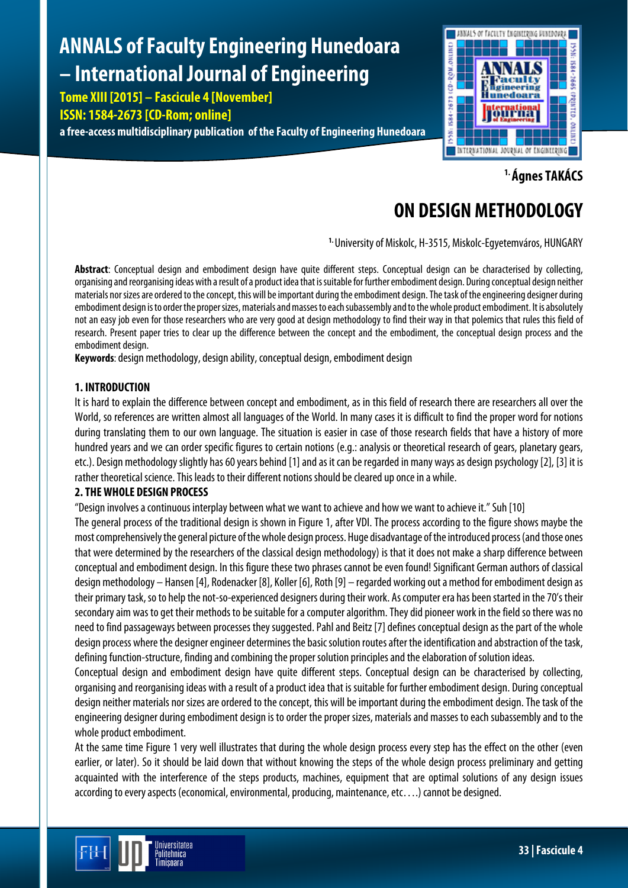# **ANNALS of Faculty Engineering Hunedoara – International Journal of Engineering**

**Tome XIII [2015] – Fascicule 4 [November]**

### **ISSN: 1584-2673 [CD-Rom; online]**

**a free-access multidisciplinary publication of the Faculty of Engineering Hunedoara**



**1. Ágnes TAKÁCS**

## **ON DESIGN METHODOLOGY**

**1.** University of Miskolc, H-3515, Miskolc-Egyetemváros, HUNGARY

**Abstract**: Conceptual design and embodiment design have quite different steps. Conceptual design can be characterised by collecting, organising and reorganising ideas with a result of a product idea that is suitable for further embodiment design. During conceptual design neither materials nor sizes are ordered to the concept, this will be important during the embodiment design. The task of the engineering designer during embodiment design is to order the proper sizes, materials and masses to each subassembly and to the whole product embodiment. It is absolutely not an easy job even for those researchers who are very good at design methodology to find their way in that polemics that rules this field of research. Present paper tries to clear up the difference between the concept and the embodiment, the conceptual design process and the embodiment design.

**Keywords**: design methodology, design ability, conceptual design, embodiment design

#### **1. INTRODUCTION**

It is hard to explain the difference between concept and embodiment, as in this field of research there are researchers all over the World, so references are written almost all languages of the World. In many cases it is difficult to find the proper word for notions during translating them to our own language. The situation is easier in case of those research fields that have a history of more hundred years and we can order specific figures to certain notions (e.g.: analysis or theoretical research of gears, planetary gears, etc.). Design methodology slightly has 60 years behind [1] and as it can be regarded in many ways as design psychology [2], [3] it is rather theoretical science. This leads to their different notions should be cleared up once in a while.

#### **2. THE WHOLE DESIGN PROCESS**

"Design involves a continuous interplay between what we want to achieve and how we want to achieve it." Suh [10]

The general process of the traditional design is shown in Figure 1, after VDI. The process according to the figure shows maybe the most comprehensively the general picture of the whole design process. Huge disadvantage of the introduced process (and those ones that were determined by the researchers of the classical design methodology) is that it does not make a sharp difference between conceptual and embodiment design. In this figure these two phrases cannot be even found! Significant German authors of classical design methodology – Hansen [4], Rodenacker [8], Koller [6], Roth [9] – regarded working out a method for embodiment design as their primary task, so to help the not-so-experienced designers during their work. As computer era has been started in the 70's their secondary aim was to get their methods to be suitable for a computer algorithm. They did pioneer work in the field so there was no need to find passageways between processes they suggested. Pahl and Beitz [7] defines conceptual design as the part of the whole design process where the designer engineer determines the basic solution routes after the identification and abstraction of the task, defining function-structure, finding and combining the proper solution principles and the elaboration of solution ideas.

Conceptual design and embodiment design have quite different steps. Conceptual design can be characterised by collecting, organising and reorganising ideas with a result of a product idea that is suitable for further embodiment design. During conceptual design neither materials nor sizes are ordered to the concept, this will be important during the embodiment design. The task of the engineering designer during embodiment design is to order the proper sizes, materials and masses to each subassembly and to the whole product embodiment.

At the same time Figure 1 very well illustrates that during the whole design process every step has the effect on the other (even earlier, or later). So it should be laid down that without knowing the steps of the whole design process preliminary and getting acquainted with the interference of the steps products, machines, equipment that are optimal solutions of any design issues according to every aspects (economical, environmental, producing, maintenance, etc….) cannot be designed.

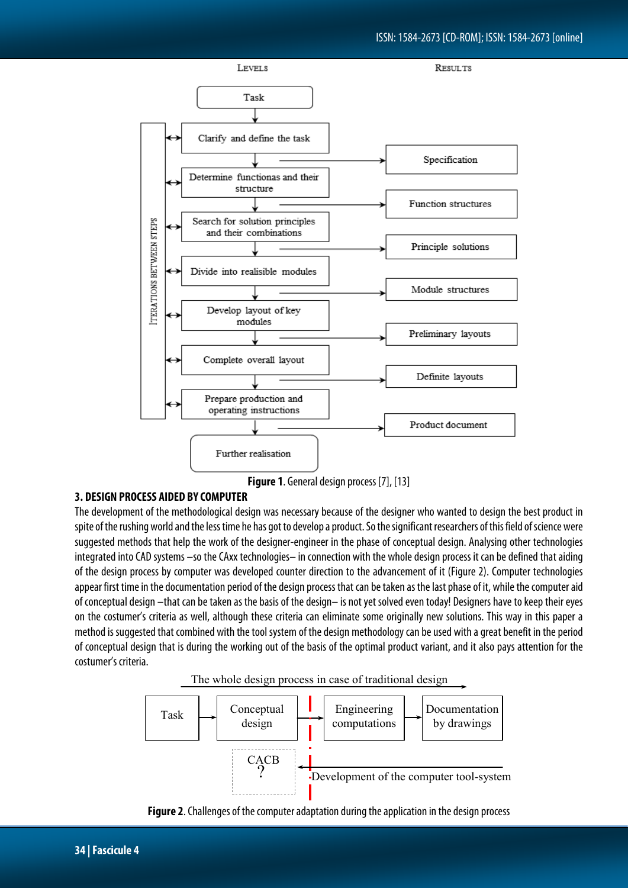

**Figure 1**. General design process [7], [13]

#### **3. DESIGN PROCESS AIDED BY COMPUTER**

The development of the methodological design was necessary because of the designer who wanted to design the best product in spite of the rushing world and the less time he has got to develop a product. So the significant researchers of this field of science were suggested methods that help the work of the designer-engineer in the phase of conceptual design. Analysing other technologies integrated into CAD systems –so the CAxx technologies– in connection with the whole design process it can be defined that aiding of the design process by computer was developed counter direction to the advancement of it (Figure 2). Computer technologies appear first time in the documentation period of the design process that can be taken as the last phase of it, while the computer aid of conceptual design –that can be taken as the basis of the design– is not yet solved even today! Designers have to keep their eyes on the costumer's criteria as well, although these criteria can eliminate some originally new solutions. This way in this paper a method is suggested that combined with the tool system of the design methodology can be used with a great benefit in the period of conceptual design that is during the working out of the basis of the optimal product variant, and it also pays attention for the costumer's criteria.





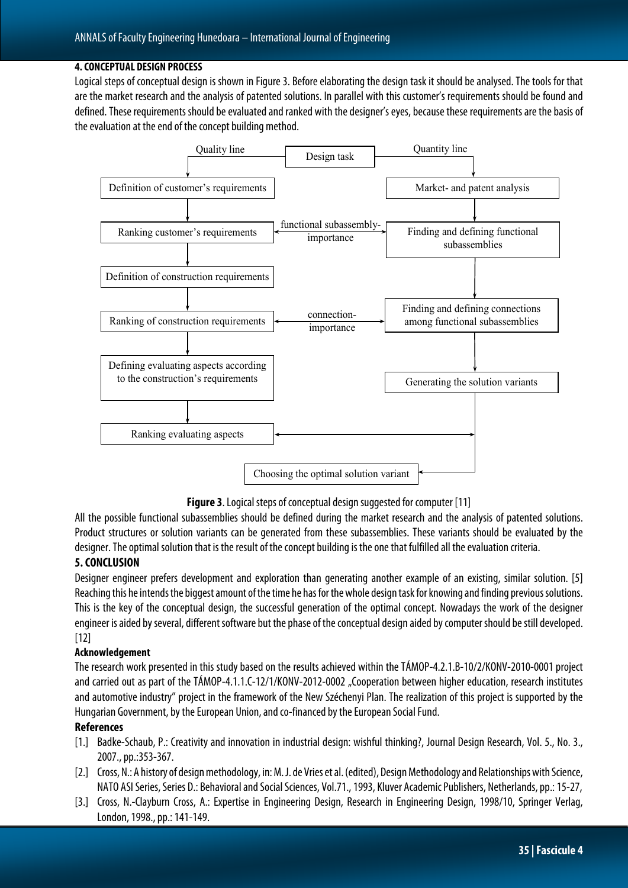#### **4. CONCEPTUAL DESIGN PROCESS**

Logical steps of conceptual design is shown in Figure 3. Before elaborating the design task it should be analysed. The tools for that are the market research and the analysis of patented solutions. In parallel with this customer's requirements should be found and defined. These requirements should be evaluated and ranked with the designer's eyes, because these requirements are the basisof the evaluation at the end of the concept building method.



**Figure 3**. Logical steps of conceptual design suggested for computer [11]

All the possible functional subassemblies should be defined during the market research and the analysis of patented solutions. Product structures or solution variants can be generated from these subassemblies. These variants should be evaluated by the designer. The optimal solution that is the result of the concept building is the one that fulfilled all the evaluation criteria.

#### **5. CONCLUSION**

Designer engineer prefers development and exploration than generating another example of an existing, similar solution. [5] Reaching this he intends the biggest amount of the time he has for the whole design task for knowing and finding previous solutions. This is the key of the conceptual design, the successful generation of the optimal concept. Nowadays the work of the designer engineer is aided by several, different software but the phase of the conceptual design aided by computer should be still developed. [12]

#### **Acknowledgement**

The research work presented in this study based on the results achieved within the TÁMOP-4.2.1.B-10/2/KONV-2010-0001 project and carried out as part of the TÁMOP-4.1.1.C-12/1/KONV-2012-0002 "Cooperation between higher education, research institutes and automotive industry" project in the framework of the New Széchenyi Plan. The realization of this project is supported by the Hungarian Government, by the European Union, and co-financed by the European Social Fund.

#### **References**

- [1.] Badke-Schaub, P.: Creativity and innovation in industrial design: wishful thinking?, Journal Design Research, Vol. 5., No. 3., 2007., pp.:353-367.
- [2.] Cross, N.: A history of design methodology, in: M. J. de Vries et al. (edited), Design Methodology and Relationships with Science, NATO ASI Series, Series D.: Behavioral and Social Sciences, Vol.71., 1993, Kluver Academic Publishers, Netherlands, pp.: 15-27,
- [3.] Cross, N.-Clayburn Cross, A.: Expertise in Engineering Design, Research in Engineering Design, 1998/10, Springer Verlag, London, 1998., pp.: 141-149.